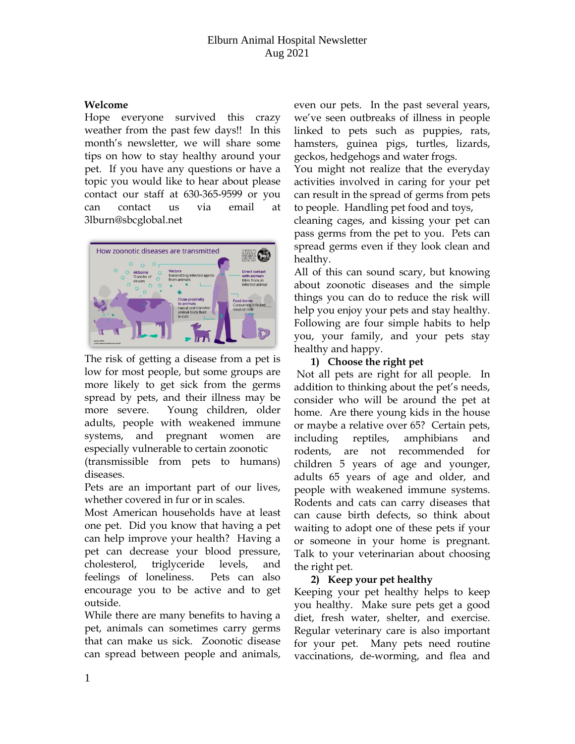#### **Welcome**

Hope everyone survived this crazy weather from the past few days!! In this month's newsletter, we will share some tips on how to stay healthy around your pet. If you have any questions or have a topic you would like to hear about please contact our staff at 630-365-9599 or you can contact us via email at 3lburn@sbcglobal.net



The risk of getting a disease from a pet is low for most people, but some groups are more likely to get sick from the germs spread by pets, and their illness may be more severe. Young children, older adults, people with weakened immune systems, and pregnant women are especially vulnerable to certain zoonotic

(transmissible from pets to humans) diseases.

Pets are an important part of our lives, whether covered in fur or in scales.

Most American households have at least one pet. Did you know that having a pet can help improve your health? Having a pet can decrease your blood pressure, cholesterol, triglyceride levels, and feelings of loneliness. Pets can also encourage you to be active and to get outside.

While there are many benefits to having a pet, animals can sometimes carry germs that can make us sick. Zoonotic disease can spread between people and animals, even our pets. In the past several years, we've seen outbreaks of illness in people linked to pets such as puppies, rats, hamsters, guinea pigs, turtles, lizards, geckos, hedgehogs and water frogs.

You might not realize that the everyday activities involved in caring for your pet can result in the spread of germs from pets to people. Handling pet food and toys,

cleaning cages, and kissing your pet can pass germs from the pet to you. Pets can spread germs even if they look clean and healthy.

All of this can sound scary, but knowing about zoonotic diseases and the simple things you can do to reduce the risk will help you enjoy your pets and stay healthy. Following are four simple habits to help you, your family, and your pets stay healthy and happy.

#### **1) Choose the right pet**

Not all pets are right for all people. In addition to thinking about the pet's needs, consider who will be around the pet at home. Are there young kids in the house or maybe a relative over 65? Certain pets, including reptiles, amphibians and rodents, are not recommended for children 5 years of age and younger, adults 65 years of age and older, and people with weakened immune systems. Rodents and cats can carry diseases that can cause birth defects, so think about waiting to adopt one of these pets if your or someone in your home is pregnant. Talk to your veterinarian about choosing the right pet.

## **2) Keep your pet healthy**

Keeping your pet healthy helps to keep you healthy. Make sure pets get a good diet, fresh water, shelter, and exercise. Regular veterinary care is also important for your pet. Many pets need routine vaccinations, de-worming, and flea and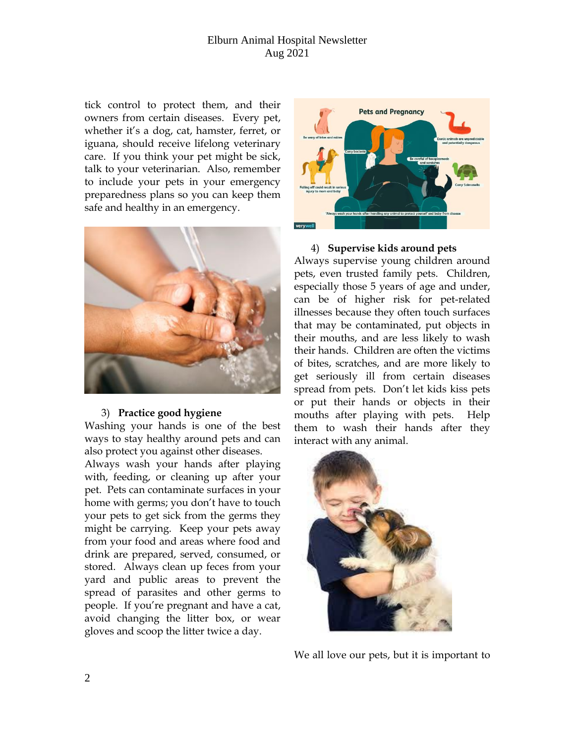## Elburn Animal Hospital Newsletter Aug 2021

tick control to protect them, and their owners from certain diseases. Every pet, whether it's a dog, cat, hamster, ferret, or iguana, should receive lifelong veterinary care. If you think your pet might be sick, talk to your veterinarian. Also, remember to include your pets in your emergency preparedness plans so you can keep them safe and healthy in an emergency.



#### 3) **Practice good hygiene**

Washing your hands is one of the best ways to stay healthy around pets and can also protect you against other diseases.

Always wash your hands after playing with, feeding, or cleaning up after your pet. Pets can contaminate surfaces in your home with germs; you don't have to touch your pets to get sick from the germs they might be carrying. Keep your pets away from your food and areas where food and drink are prepared, served, consumed, or stored. Always clean up feces from your yard and public areas to prevent the spread of parasites and other germs to people. If you're pregnant and have a cat, avoid changing the litter box, or wear gloves and scoop the litter twice a day.



#### 4) **Supervise kids around pets**

Always supervise young children around pets, even trusted family pets. Children, especially those 5 years of age and under, can be of higher risk for pet-related illnesses because they often touch surfaces that may be contaminated, put objects in their mouths, and are less likely to wash their hands. Children are often the victims of bites, scratches, and are more likely to get seriously ill from certain diseases spread from pets. Don't let kids kiss pets or put their hands or objects in their mouths after playing with pets. Help them to wash their hands after they interact with any animal.



We all love our pets, but it is important to